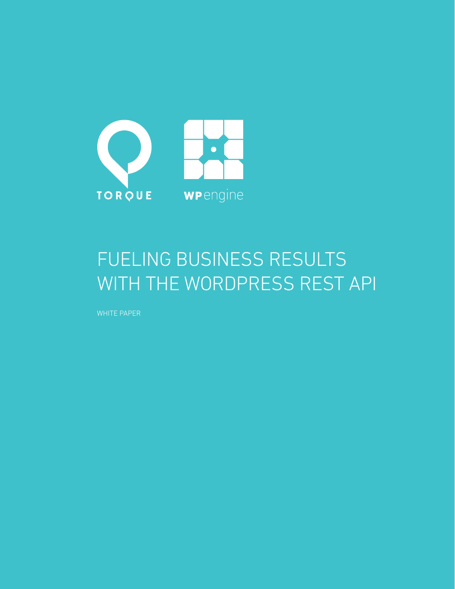

## FUELING BUSINESS RESULTS WITH THE WORDPRESS REST API

WHITE PAPER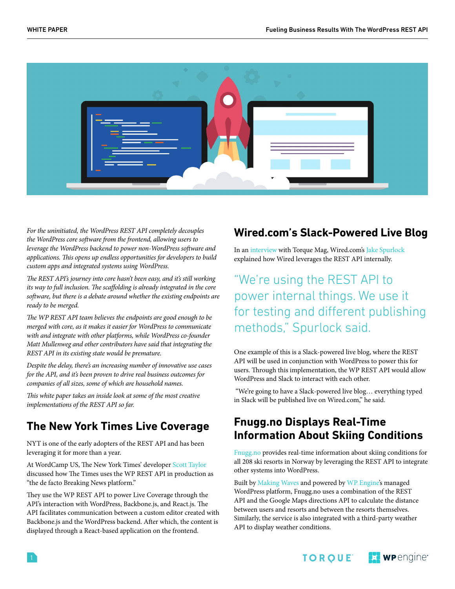

*For the uninitiated, the WordPress REST API completely decouples the WordPress core software from the frontend, allowing users to leverage the WordPress backend to power non-WordPress software and applications. This opens up endless opportunities for developers to build custom apps and integrated systems using WordPress.* 

*The REST API's journey into core hasn't been easy, and it's still working its way to full inclusion. The scaffolding is already integrated in the core software, but there is a debate around whether the existing endpoints are ready to be merged.*

*The WP REST API team believes the endpoints are good enough to be merged with core, as it makes it easier for WordPress to communicate with and integrate with other platforms, while WordPress co-founder Matt Mullenweg and other contributors have said that integrating the REST API in its existing state would be premature.* 

*Despite the delay, there's an increasing number of innovative use cases for the API, and it's been proven to drive real business outcomes for companies of all sizes, some of which are household names.*

*This white paper takes an inside look at some of the most creative implementations of the REST API so far.* 

#### **The New York Times Live Coverage**

NYT is one of the early adopters of the REST API and has been leveraging it for more than a year.

At WordCamp US, The New York Times' developer [Scott Taylor](https://twitter.com/wonderboymusic) discussed how The Times uses the WP REST API in production as "the de facto Breaking News platform."

They use the WP REST API to power Live Coverage through the API's interaction with WordPress, Backbone.js, and React.js. The API facilitates communication between a custom editor created with Backbone.js and the WordPress backend. After which, the content is displayed through a React-based application on the frontend.

#### **Wired.com's Slack-Powered Live Blog**

In an [interview](https://www.youtube.com/watch?v=NhIJ8oq9lkk&list=PLbLnaL8bXQ8dD_s9BAjkoJc-p6f-VbwXa&index=2) with Torque Mag, Wired.com's [Jake Spurlock](https://twitter.com/whyisjake) explained how Wired leverages the REST API internally.

"We're using the REST API to power internal things. We use it for testing and different publishing methods," Spurlock said.

One example of this is a Slack-powered live blog, where the REST API will be used in conjunction with WordPress to power this for users. Through this implementation, the WP REST API would allow WordPress and Slack to interact with each other.

 "We're going to have a Slack-powered live blog… everything typed in Slack will be published live on Wired.com," he said.

#### **Fnugg.no Displays Real-Time Information About Skiing Conditions**

[Fnugg.no](http://www.fnugg.no/) provides real-time information about skiing conditions for all 208 ski resorts in Norway by leveraging the REST API to integrate other systems into WordPress.

Built by [Making Waves](http://www.makingwaves.com/) and powered by [WP Engine'](https://www.wpengine.com/)s managed WordPress platform, Fnugg.no uses a combination of the REST API and the Google Maps directions API to calculate the distance between users and resorts and between the resorts themselves. Similarly, the service is also integrated with a third-party weather API to display weather conditions.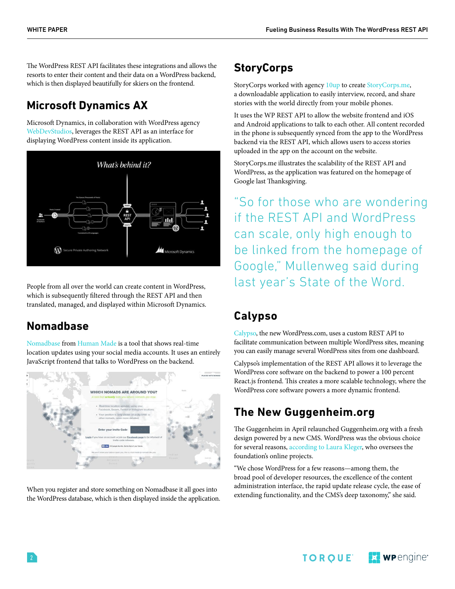The WordPress REST API facilitates these integrations and allows the resorts to enter their content and their data on a WordPress backend, which is then displayed beautifully for skiers on the frontend.

## **Microsoft Dynamics AX**

Microsoft Dynamics, in collaboration with WordPress agency [WebDevStudios,](https://webdevstudios.com/) leverages the REST API as an interface for displaying WordPress content inside its application.



People from all over the world can create content in WordPress, which is subsequently filtered through the REST API and then translated, managed, and displayed within Microsoft Dynamics.

#### **Nomadbase**

[Nomadbase](https://nomadbase.io/) from [Human Made](https://hmn.md/) is a tool that shows real-time location updates using your social media accounts. It uses an entirely JavaScript frontend that talks to WordPress on the backend.



When you register and store something on Nomadbase it all goes into the WordPress database, which is then displayed inside the application.

#### **StoryCorps**

StoryCorps worked with agency [10up](https://10up.com/) to create [StoryCorps.me](https://storycorps.me/), a downloadable application to easily interview, record, and share stories with the world directly from your mobile phones.

It uses the WP REST API to allow the website frontend and iOS and Android applications to talk to each other. All content recorded in the phone is subsequently synced from the app to the WordPress backend via the REST API, which allows users to access stories uploaded in the app on the account on the website.

StoryCorps.me illustrates the scalability of the REST API and WordPress, as the application was featured on the homepage of Google last Thanksgiving.

"So for those who are wondering if the REST API and WordPress can scale, only high enough to be linked from the homepage of Google," Mullenweg said during last year's State of the Word.

## **Calypso**

[Calypso,](https://developer.wordpress.com/calypso/) the new WordPress.com, uses a custom REST API to facilitate communication between multiple WordPress sites, meaning you can easily manage several WordPress sites from one dashboard.

Calypso's implementation of the REST API allows it to leverage the WordPress core software on the backend to power a 100 percent React.js frontend. This creates a more scalable technology, where the WordPress core software powers a more dynamic frontend.

## **The New Guggenheim.org**

The Guggenheim in April relaunched Guggenheim.org with a fresh design powered by a new CMS. WordPress was the obvious choice for several reasons, [according to Laura Kleger](https://www.guggenheim.org/blogs/checklist/meet-the-new-guggenheim-org), who oversees the foundation's online projects.

"We chose WordPress for a few reasons—among them, the broad pool of developer resources, the excellence of the content administration interface, the rapid update release cycle, the ease of extending functionality, and the CMS's deep taxonomy," she said.

> **E:** wpengine<sup>®</sup> TOROUE<sup>®</sup>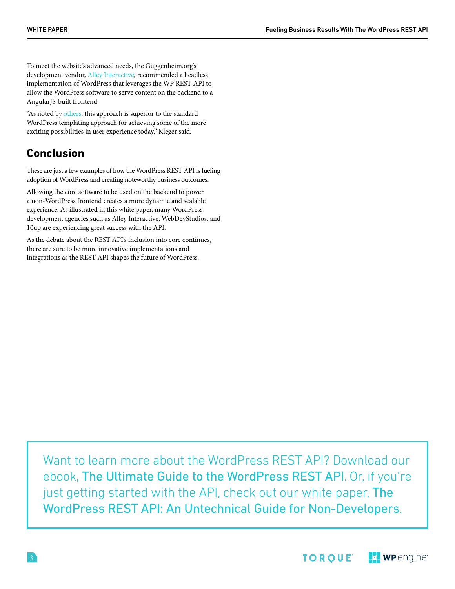To meet the website's advanced needs, the Guggenheim.org's development vendor, [Alley Interactive](https://www.alleyinteractive.com/), recommended a headless implementation of WordPress that leverages the WP REST API to allow the WordPress software to serve content on the backend to a AngularJS-built frontend.

"As noted by [others](http://alistapart.com/column/nearly-headless-cms), this approach is superior to the standard WordPress templating approach for achieving some of the more exciting possibilities in user experience today." Kleger said.

#### **Conclusion**

These are just a few examples of how the WordPress REST API is fueling adoption of WordPress and creating noteworthy business outcomes.

Allowing the core software to be used on the backend to power a non-WordPress frontend creates a more dynamic and scalable experience. As illustrated in this white paper, many WordPress development agencies such as Alley Interactive, WebDevStudios, and 10up are experiencing great success with the API.

As the debate about the REST API's inclusion into core continues, there are sure to be more innovative implementations and integrations as the REST API shapes the future of WordPress.

Want to learn more about the WordPress REST API? Download our ebook, [The Ultimate Guide to the WordPress REST API](http://hs.wpengine.com/torque-wordpress-rest-api-ebook-torque?utm_source=hubspot&utm_medium=torque&utm_campaign=701d0000001O1Jr&utm_term=torque-promotion&utm_content=wp-api-ebook). Or, if you're just getting started with the API, check out our white paper, The [WordPress REST API: An Untechnical Guide for Non-Developers](http://torquemag.io/2015/11/an-untechnical-guide-to-the-wp-rest-api-a-free-white-paper-for-non-developers/).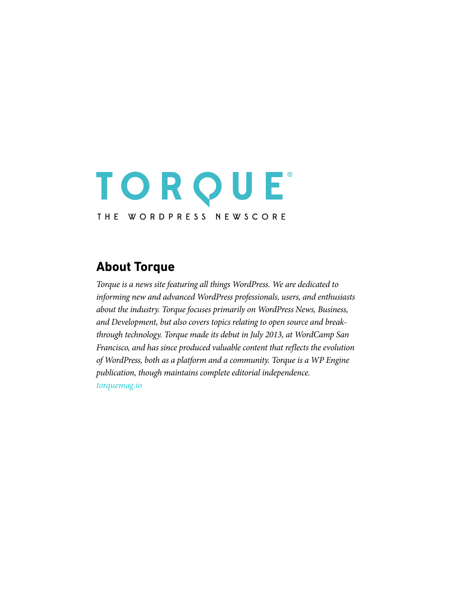# TORQUE THE WORDPRESS NEWSCORE

#### **About Torque**

*Torque is a news site featuring all things WordPress. We are dedicated to informing new and advanced WordPress professionals, users, and enthusiasts about the industry. Torque focuses primarily on WordPress News, Business, and Development, but also covers topics relating to open source and breakthrough technology. Torque made its debut in July 2013, at WordCamp San Francisco, and has since produced valuable content that reflects the evolution of WordPress, both as a platform and a community. Torque is a WP Engine publication, though maintains complete editorial independence. [torquemag.io](http://torquemag.io)*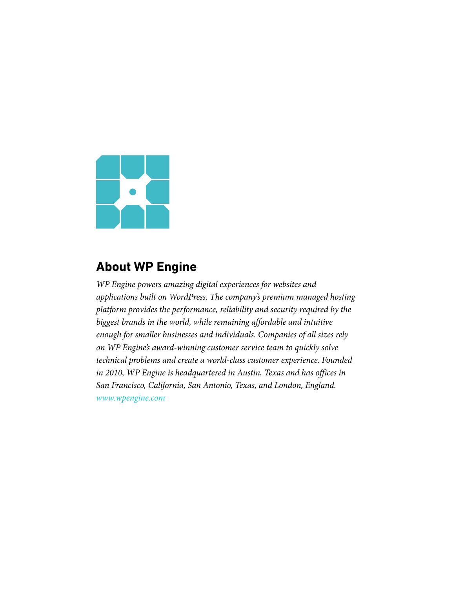

### **About WP Engine**

*WP Engine powers amazing digital experiences for websites and applications built on WordPress. The company's premium managed hosting platform provides the performance, reliability and security required by the biggest brands in the world, while remaining affordable and intuitive enough for smaller businesses and individuals. Companies of all sizes rely on WP Engine's award-winning customer service team to quickly solve technical problems and create a world-class customer experience. Founded in 2010, WP Engine is headquartered in Austin, Texas and has offices in San Francisco, California, San Antonio, Texas, and London, England. [www.wpengine.com](https://wpengine.com/)*